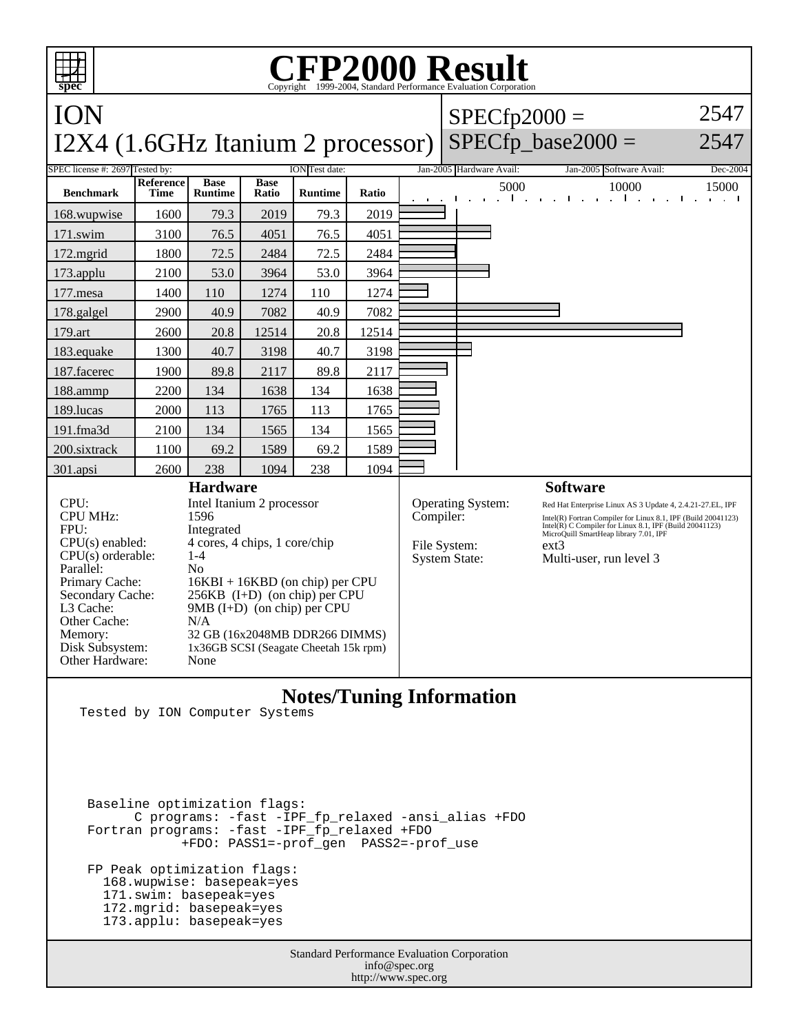| <b>FP2000 Result</b><br>Copyright ©1999-2004, Standard Performance Evaluation Corporation                                                                                                                                 |                                                                                                                                                                                                                                                                                                                                     |                               |                      |                |           |                                                           |                                                                                                                                                                                                                                                                                           |                                                 |          |  |  |
|---------------------------------------------------------------------------------------------------------------------------------------------------------------------------------------------------------------------------|-------------------------------------------------------------------------------------------------------------------------------------------------------------------------------------------------------------------------------------------------------------------------------------------------------------------------------------|-------------------------------|----------------------|----------------|-----------|-----------------------------------------------------------|-------------------------------------------------------------------------------------------------------------------------------------------------------------------------------------------------------------------------------------------------------------------------------------------|-------------------------------------------------|----------|--|--|
| ION                                                                                                                                                                                                                       |                                                                                                                                                                                                                                                                                                                                     |                               |                      |                |           |                                                           | $SPECfp2000 =$                                                                                                                                                                                                                                                                            |                                                 | 2547     |  |  |
| I2X4 (1.6GHz Itanium 2 processor)                                                                                                                                                                                         |                                                                                                                                                                                                                                                                                                                                     |                               |                      |                |           |                                                           |                                                                                                                                                                                                                                                                                           | $SPECfp$ base2000 =                             | 2547     |  |  |
| SPEC license #: 2697 Tested by:<br><b>ION</b> Test date:                                                                                                                                                                  |                                                                                                                                                                                                                                                                                                                                     |                               |                      |                |           |                                                           | Jan-2005 Hardware Avail:                                                                                                                                                                                                                                                                  | Jan-2005 Software Avail:                        | Dec-2004 |  |  |
| <b>Benchmark</b>                                                                                                                                                                                                          | <b>Reference</b><br><b>Time</b>                                                                                                                                                                                                                                                                                                     | <b>Base</b><br><b>Runtime</b> | <b>Base</b><br>Ratio | <b>Runtime</b> | Ratio     |                                                           | 5000                                                                                                                                                                                                                                                                                      | 10000<br>$\mathbf{I}$<br>$\mathbf{1}$<br>$\sim$ | 15000    |  |  |
| 168.wupwise                                                                                                                                                                                                               | 1600                                                                                                                                                                                                                                                                                                                                | 79.3                          | 2019                 | 79.3           | 2019      |                                                           |                                                                                                                                                                                                                                                                                           |                                                 |          |  |  |
| 171.swim                                                                                                                                                                                                                  | 3100                                                                                                                                                                                                                                                                                                                                | 76.5                          | 4051                 | 76.5           | 4051      |                                                           |                                                                                                                                                                                                                                                                                           |                                                 |          |  |  |
| 172.mgrid                                                                                                                                                                                                                 | 1800                                                                                                                                                                                                                                                                                                                                | 72.5                          | 2484                 | 72.5           | 2484      |                                                           |                                                                                                                                                                                                                                                                                           |                                                 |          |  |  |
| 173.applu                                                                                                                                                                                                                 | 2100                                                                                                                                                                                                                                                                                                                                | 53.0                          | 3964                 | 53.0           | 3964      |                                                           |                                                                                                                                                                                                                                                                                           |                                                 |          |  |  |
| $177$ .mesa                                                                                                                                                                                                               | 1400                                                                                                                                                                                                                                                                                                                                | 110                           | 1274                 | 110            | 1274      |                                                           |                                                                                                                                                                                                                                                                                           |                                                 |          |  |  |
| 178.galgel                                                                                                                                                                                                                | 2900                                                                                                                                                                                                                                                                                                                                | 40.9                          | 7082                 | 40.9           | 7082      |                                                           |                                                                                                                                                                                                                                                                                           |                                                 |          |  |  |
| 179.art                                                                                                                                                                                                                   | 2600                                                                                                                                                                                                                                                                                                                                | 20.8                          | 12514                | 20.8           | 12514     |                                                           |                                                                                                                                                                                                                                                                                           |                                                 |          |  |  |
| 183.equake                                                                                                                                                                                                                | 1300                                                                                                                                                                                                                                                                                                                                | 40.7                          | 3198                 | 40.7           | 3198      |                                                           |                                                                                                                                                                                                                                                                                           |                                                 |          |  |  |
| 187.facerec                                                                                                                                                                                                               | 1900                                                                                                                                                                                                                                                                                                                                | 89.8                          | 2117                 | 89.8           | 2117      |                                                           |                                                                                                                                                                                                                                                                                           |                                                 |          |  |  |
| 188.ammp                                                                                                                                                                                                                  | 2200                                                                                                                                                                                                                                                                                                                                | 134                           | 1638                 | 134            | 1638      |                                                           |                                                                                                                                                                                                                                                                                           |                                                 |          |  |  |
| 189.lucas                                                                                                                                                                                                                 | 2000                                                                                                                                                                                                                                                                                                                                | 113                           | 1765                 | 113            | 1765      |                                                           |                                                                                                                                                                                                                                                                                           |                                                 |          |  |  |
| 191.fma3d                                                                                                                                                                                                                 | 2100                                                                                                                                                                                                                                                                                                                                | 134                           | 1565                 | 134            | 1565      |                                                           |                                                                                                                                                                                                                                                                                           |                                                 |          |  |  |
| 200.sixtrack                                                                                                                                                                                                              | 1100                                                                                                                                                                                                                                                                                                                                | 69.2                          | 1589                 | 69.2           | 1589      |                                                           |                                                                                                                                                                                                                                                                                           |                                                 |          |  |  |
| 301.apsi                                                                                                                                                                                                                  | 2600                                                                                                                                                                                                                                                                                                                                | 238                           | 1094                 | 238            | 1094      |                                                           |                                                                                                                                                                                                                                                                                           |                                                 |          |  |  |
| CPU:<br><b>CPU MHz:</b><br>FPII:<br>$CPU(s)$ enabled:<br>$CPU(s)$ orderable:<br>Parallel:<br>Primary Cache:<br>Secondary Cache:<br>L <sub>3</sub> Cache:<br>Other Cache:<br>Memory:<br>Disk Subsystem:<br>Other Hardware: | <b>Hardware</b><br>Intel Itanium 2 processor<br>1596<br>Integrated<br>4 cores, 4 chips, 1 core/chip<br>$1 - 4$<br>N <sub>0</sub><br>$16KBI + 16KBD$ (on chip) per CPU<br>$256KB$ (I+D) (on chip) per CPU<br>$9MB$ (I+D) (on chip) per CPU<br>N/A<br>32 GB (16x2048MB DDR266 DIMMS)<br>1x36GB SCSI (Seagate Cheetah 15k rpm)<br>None |                               |                      |                | Compiler: | Operating System:<br>File System:<br><b>System State:</b> | <b>Software</b><br>Red Hat Enterprise Linux AS 3 Update 4, 2.4.21-27.EL, IPF<br>Intel(R) Fortran Compiler for Linux 8.1, IPF (Build 20041123)<br>Intel(R) C Compiler for Linux 8.1, IPF (Build 20041123)<br>MicroQuill SmartHeap library 7.01, IPF<br>$ext{3}$<br>Multi-user, run level 3 |                                                 |          |  |  |

## **Notes/Tuning Information**

Tested by ION Computer Systems

 Baseline optimization flags: C programs: -fast -IPF\_fp\_relaxed -ansi\_alias +FDO Fortran programs: -fast -IPF\_fp\_relaxed +FDO +FDO: PASS1=-prof\_gen PASS2=-prof\_use FP Peak optimization flags: 168.wupwise: basepeak=yes 171.swim: basepeak=yes 172.mgrid: basepeak=yes 173.applu: basepeak=yes

> Standard Performance Evaluation Corporation info@spec.org http://www.spec.org